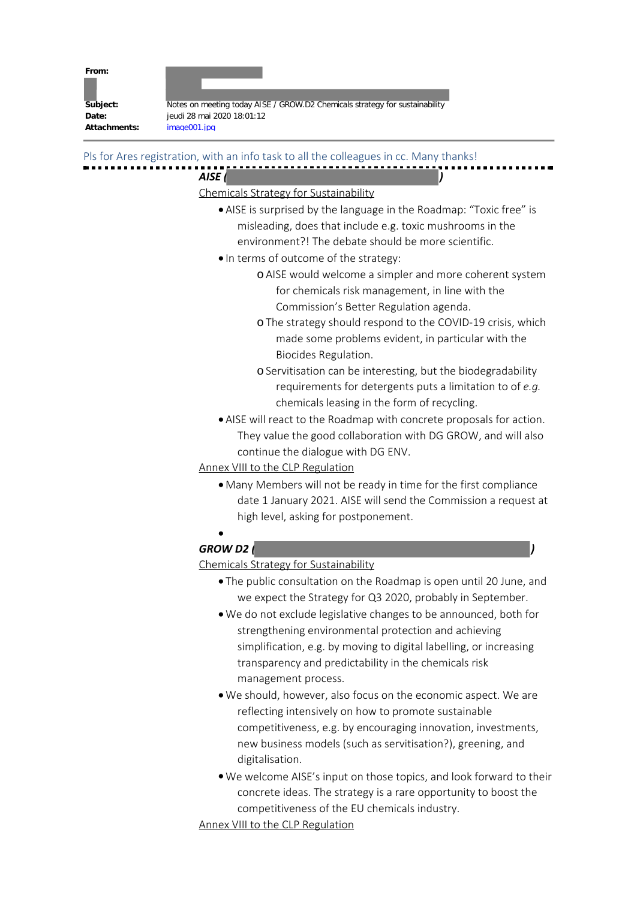| From:    |                                                                             |
|----------|-----------------------------------------------------------------------------|
|          |                                                                             |
| Subject: | Notes on meeting today AISE / GROW.D2 Chemicals strategy for sustainability |
| Date:    | jeudi 28 mai 2020 18:01:12                                                  |

Attachments: image001.jpg

Pls for Ares registration, with an info task to all the colleagues in cc. Many thanks!

## *AISE ( )*

## Chemicals Strategy for Sustainability

- · AISE is surprised by the language in the Roadmap: "Toxic free" is misleading, does that include e.g. toxic mushrooms in the environment?! The debate should be more scientific.
- · In terms of outcome of the strategy:
	- o AISE would welcome a simpler and more coherent system for chemicals risk management, in line with the Commission's Better Regulation agenda.
	- oThe strategy should respond to the COVID-19 crisis, which made some problems evident, in particular with the Biocides Regulation.
	- oServitisation can be interesting, but the biodegradability requirements for detergents puts a limitation to of *e.g.* chemicals leasing in the form of recycling.
- · AISE will react to the Roadmap with concrete proposals for action. They value the good collaboration with DG GROW, and will also continue the dialogue with DG ENV.

Annex VIII to the CLP Regulation

- · Many Members will not be ready in time for the first compliance date 1 January 2021. AISE will send the Commission a request at high level, asking for postponement.
- ·

## *GROW D2 ( )*

## Chemicals Strategy for Sustainability

- · The public consultation on the Roadmap is open until 20 June, and we expect the Strategy for Q3 2020, probably in September.
- · We do not exclude legislative changes to be announced, both for strengthening environmental protection and achieving simplification, e.g. by moving to digital labelling, or increasing transparency and predictability in the chemicals risk management process.
- · We should, however, also focus on the economic aspect. We are reflecting intensively on how to promote sustainable competitiveness, e.g. by encouraging innovation, investments, new business models (such as servitisation?), greening, and digitalisation.
- · We welcome AISE's input on those topics, and look forward to their concrete ideas. The strategy is a rare opportunity to boost the competitiveness of the EU chemicals industry.

Annex VIII to the CLP Regulation